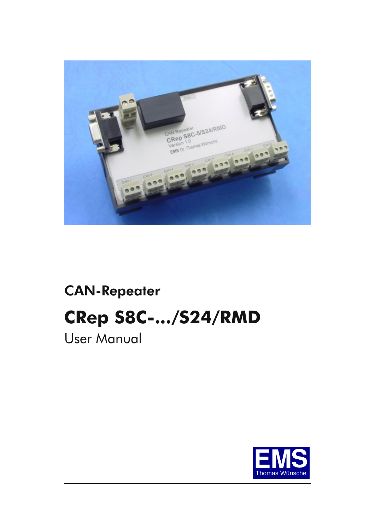

# **CRep S8C.../S24/RMD CAN-Repeater**

User Manual

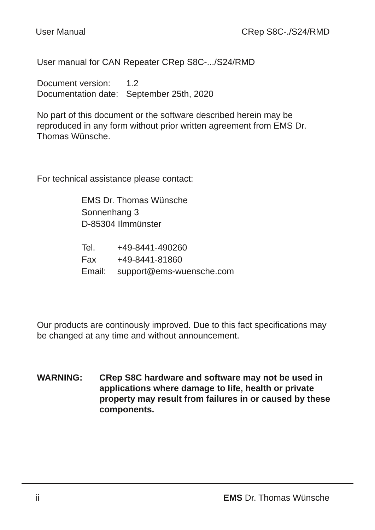User manual for CAN Repeater CRep S8C.../S24/RMD

Document version: 1.2 Documentation date: September 25th, 2020

No part of this document or the software described herein may be reproduced in any form without prior written agreement from EMS Dr. Thomas Wünsche.

For technical assistance please contact:

EMS Dr. Thomas Wünsche Sonnenhang 3 D-85304 Ilmmünster

Tel. +49-8441-490260  $Fax +49-8441-81860$ Email: support@ems-wuensche.com

Our products are continously improved. Due to this fact specifications may be changed at any time and without announcement.

**WARNING: CRep S8C hardware and software may not be used in applications where damage to life, health or private property may result from failures in or caused by these components.**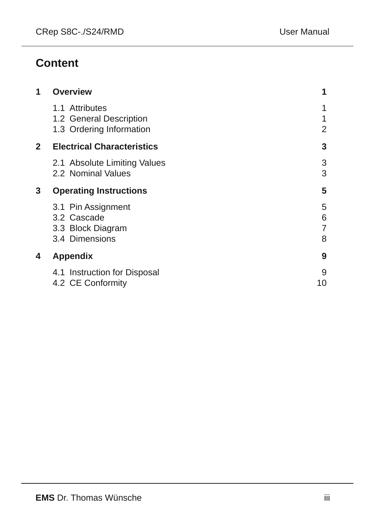# **Content**

| $\mathbf{1}$ | <b>Overview</b>                                                          | 1                |
|--------------|--------------------------------------------------------------------------|------------------|
|              | 1.1 Attributes<br>1.2 General Description<br>1.3 Ordering Information    | 1<br>1<br>2      |
| $\mathbf{2}$ | <b>Electrical Characteristics</b>                                        | 3                |
|              | 2.1 Absolute Limiting Values<br>2.2 Nominal Values                       | 3<br>3           |
| 3            | <b>Operating Instructions</b>                                            | 5                |
|              | 3.1 Pin Assignment<br>3.2 Cascade<br>3.3 Block Diagram<br>3.4 Dimensions | 5<br>6<br>7<br>8 |
| 4            | <b>Appendix</b>                                                          | 9                |
|              | 4.1 Instruction for Disposal<br>4.2 CE Conformity                        | 9<br>10          |
|              |                                                                          |                  |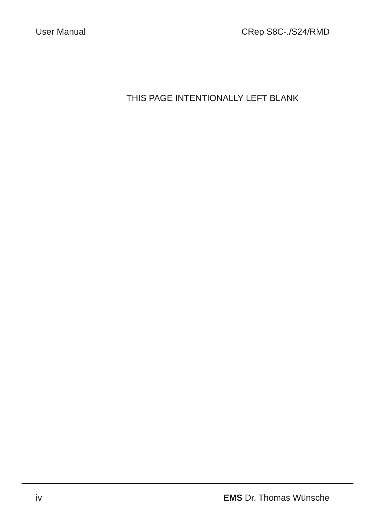THIS PAGE INTENTIONALLY LEFT BLANK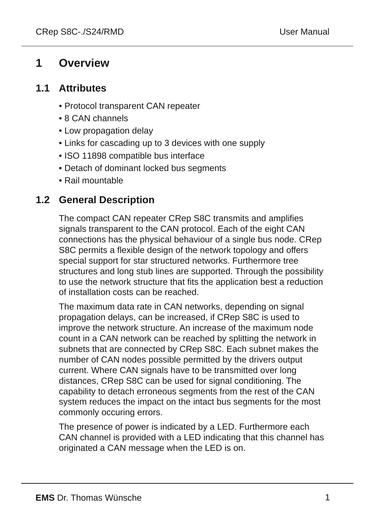## **1 Overview**

### **1.1 Attributes**

- Protocol transparent CAN repeater
- 8 CAN channels
- Low propagation delay
- Links for cascading up to 3 devices with one supply
- ISO 11898 compatible bus interface
- Detach of dominant locked bus segments
- Rail mountable

### **1.2 General Description**

The compact CAN repeater CRep S8C transmits and amplifies signals transparent to the CAN protocol. Each of the eight CAN connections has the physical behaviour of a single bus node. CRep S8C permits a flexible design of the network topology and offers special support for star structured networks. Furthermore tree structures and long stub lines are supported. Through the possibility to use the network structure that fits the application best a reduction of installation costs can be reached.

The maximum data rate in CAN networks, depending on signal propagation delays, can be increased, if CRep S8C is used to improve the network structure. An increase of the maximum node count in a CAN network can be reached by splitting the network in subnets that are connected by CRep S8C. Each subnet makes the number of CAN nodes possible permitted by the drivers output current. Where CAN signals have to be transmitted over long distances, CRep S8C can be used for signal conditioning. The capability to detach erroneous segments from the rest of the CAN system reduces the impact on the intact bus segments for the most commonly occuring errors.

The presence of power is indicated by a LED. Furthermore each CAN channel is provided with a LED indicating that this channel has originated a CAN message when the LED is on.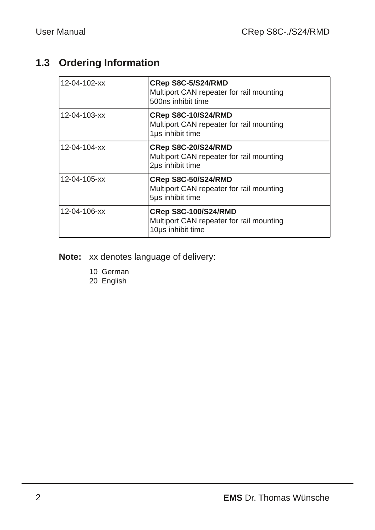# **1.3 Ordering Information**

| 12-04-102-xx | CRep S8C-5/S24/RMD<br>Multiport CAN repeater for rail mounting<br>500ns inhibit time         |
|--------------|----------------------------------------------------------------------------------------------|
| 12-04-103-xx | <b>CRep S8C-10/S24/RMD</b><br>Multiport CAN repeater for rail mounting<br>1µs inhibit time   |
| 12-04-104-xx | <b>CRep S8C-20/S24/RMD</b><br>Multiport CAN repeater for rail mounting<br>2µs inhibit time   |
| 12-04-105-xx | CRep S8C-50/S24/RMD<br>Multiport CAN repeater for rail mounting<br>5µs inhibit time          |
| 12-04-106-xx | <b>CRep S8C-100/S24/RMD</b><br>Multiport CAN repeater for rail mounting<br>10µs inhibit time |

- **Note:** xx denotes language of delivery:
	- 10 German
	- 20 English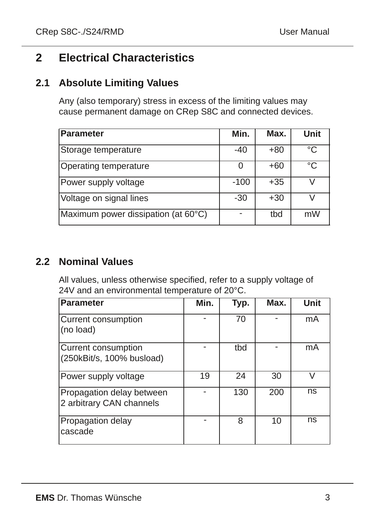# **2 Electrical Characteristics**

#### **2.1 Absolute Limiting Values**

Any (also temporary) stress in excess of the limiting values may cause permanent damage on CRep S8C and connected devices.

| <b>Parameter</b>                    | Min.   | Max.  | Unit        |
|-------------------------------------|--------|-------|-------------|
| Storage temperature                 | $-40$  | $+80$ | $^{\circ}C$ |
| Operating temperature               | 0      | $+60$ | $^{\circ}C$ |
| Power supply voltage                | $-100$ | $+35$ |             |
| Voltage on signal lines             | $-30$  | $+30$ |             |
| Maximum power dissipation (at 60°C) |        | tbd   | mW          |

#### **2.2 Nominal Values**

All values, unless otherwise specified, refer to a supply voltage of 24V and an environmental temperature of 20°C.

| <b>Parameter</b>                                        | Min. | Typ. | Max. | <b>Unit</b> |
|---------------------------------------------------------|------|------|------|-------------|
| <b>Current consumption</b><br>(no load)                 |      | 70   |      | mA          |
| <b>Current consumption</b><br>(250kBit/s, 100% busload) |      | tbd  |      | mA          |
| Power supply voltage                                    | 19   | 24   | 30   |             |
| Propagation delay between<br>2 arbitrary CAN channels   |      | 130  | 200  | ns          |
| Propagation delay<br>cascade                            |      | 8    | 10   | ns          |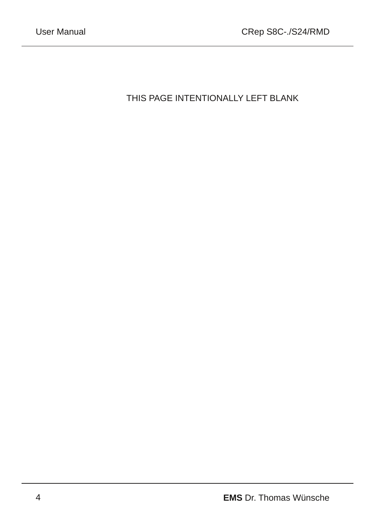THIS PAGE INTENTIONALLY LEFT BLANK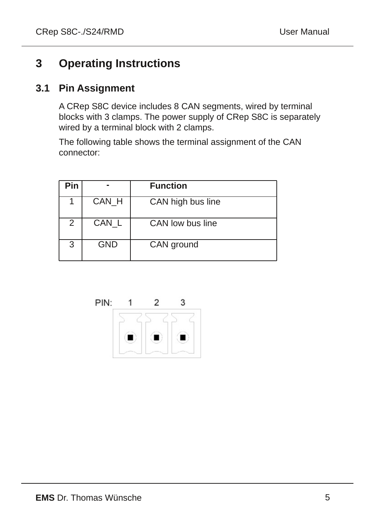# **3 Operating Instructions**

#### **3.1 Pin Assignment**

A CRep S8C device includes 8 CAN segments, wired by terminal blocks with 3 clamps. The power supply of CRep S8C is separately wired by a terminal block with 2 clamps.

The following table shows the terminal assignment of the CAN connector:

| Pin |            | <b>Function</b>   |
|-----|------------|-------------------|
|     | CAN H      | CAN high bus line |
| 2   | CAN L      | CAN low bus line  |
| 3   | <b>GND</b> | CAN ground        |

PIN:  $\overline{2}$ 3  $\mathbf{1}$ ■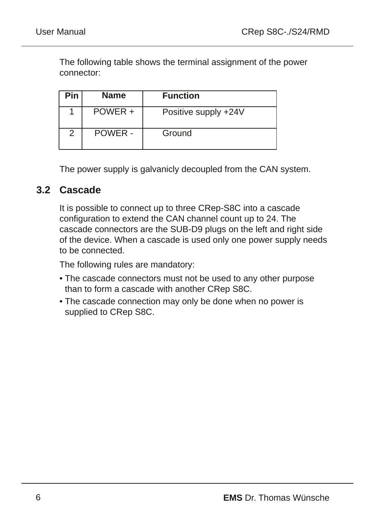The following table shows the terminal assignment of the power connector:

| Pin | <b>Name</b>    | <b>Function</b>      |
|-----|----------------|----------------------|
|     | POWER +        | Positive supply +24V |
|     | <b>POWER -</b> | Ground               |

The power supply is galvanicly decoupled from the CAN system.

#### **3.2 Cascade**

It is possible to connect up to three CRep-S8C into a cascade configuration to extend the CAN channel count up to 24. The cascade connectors are the SUB-D9 plugs on the left and right side of the device. When a cascade is used only one power supply needs to be connected.

The following rules are mandatory:

- The cascade connectors must not be used to any other purpose than to form a cascade with another CRep S8C.
- The cascade connection may only be done when no power is supplied to CRep S8C.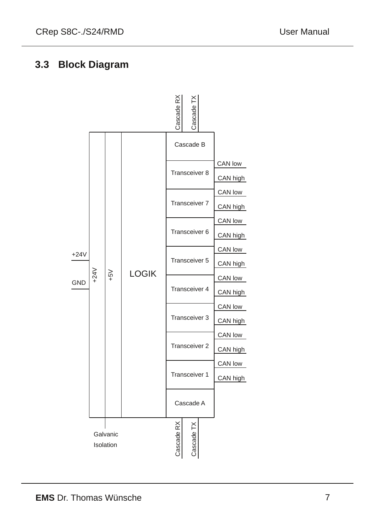### **3.3 Block Diagram**

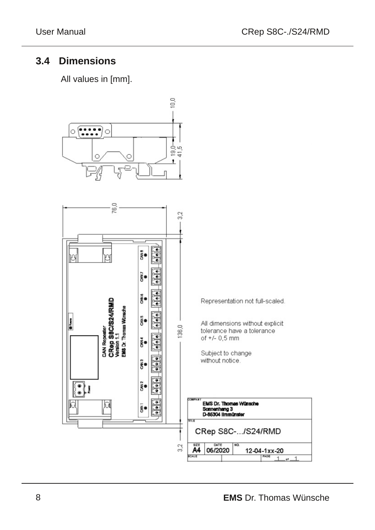### **3.4 Dimensions**

All values in [mm].

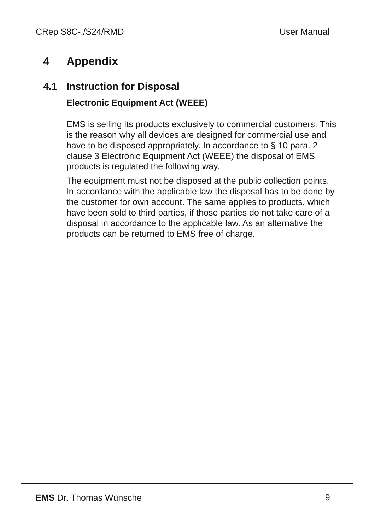# **4 Appendix**

#### **4.1 Instruction for Disposal**

#### **Electronic Equipment Act (WEEE)**

EMS is selling its products exclusively to commercial customers. This is the reason why all devices are designed for commercial use and have to be disposed appropriately. In accordance to § 10 para. 2 clause 3 Electronic Equipment Act (WEEE) the disposal of EMS products is regulated the following way.

The equipment must not be disposed at the public collection points. In accordance with the applicable law the disposal has to be done by the customer for own account. The same applies to products, which have been sold to third parties, if those parties do not take care of a disposal in accordance to the applicable law. As an alternative the products can be returned to EMS free of charge.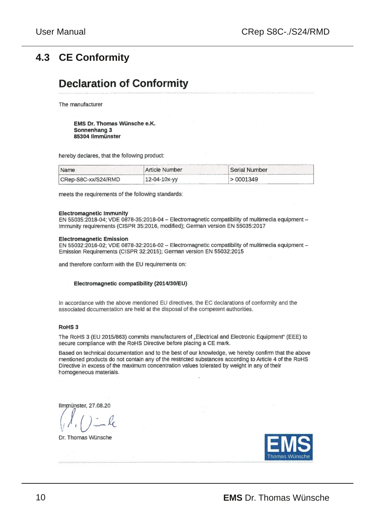### **4.3 CE Conformity**

### **Declaration of Conformity**

The manufacturer

EMS Dr. Thomas Wünsche e.K. Sonnenhang 3 85304 Ilmmünster

hereby declares, that the following product:

| Name                | Article Number | Serial Number |  |
|---------------------|----------------|---------------|--|
| CRep-S8C-xx/S24/RMD | 12-04-10x-yy   | >0001349      |  |

meets the requirements of the following standards:

#### **Electromagnetic Immunity**

EN 55035:2018-04; VDE 0878-35:2018-04 - Electromagnetic compatibility of multimedia equipment -Immunity requirements (CISPR 35:2016, modified); German version EN 55035:2017

#### **Electromagnetic Emission**

EN 55032:2016-02; VDE 0878-32:2016-02 - Electromagnetic compatibility of multimedia equipment -Emission Requirements (CISPR 32:2015); German version EN 55032:2015

and therefore conform with the EU requirements on:

#### Electromagnetic compatibility (2014/30/EU)

In accordance with the above mentioned EU directives, the EC declarations of conformity and the associated documentation are held at the disposal of the competent authorities.

#### RoHS<sub>3</sub>

The RoHS 3 (EU 2015/863) commits manufacturers of "Electrical and Electronic Equipment" (EEE) to secure compliance with the RoHS Directive before placing a CE mark.

Based on technical documentation and to the best of our knowledge, we hereby confirm that the above mentioned products do not contain any of the restricted substances according to Article 4 of the RoHS Directive in excess of the maximum concentration values tolerated by weight in any of their homogeneous materials.

Ilmmünster, 27.08.20

Dr. Thomas Wünsche